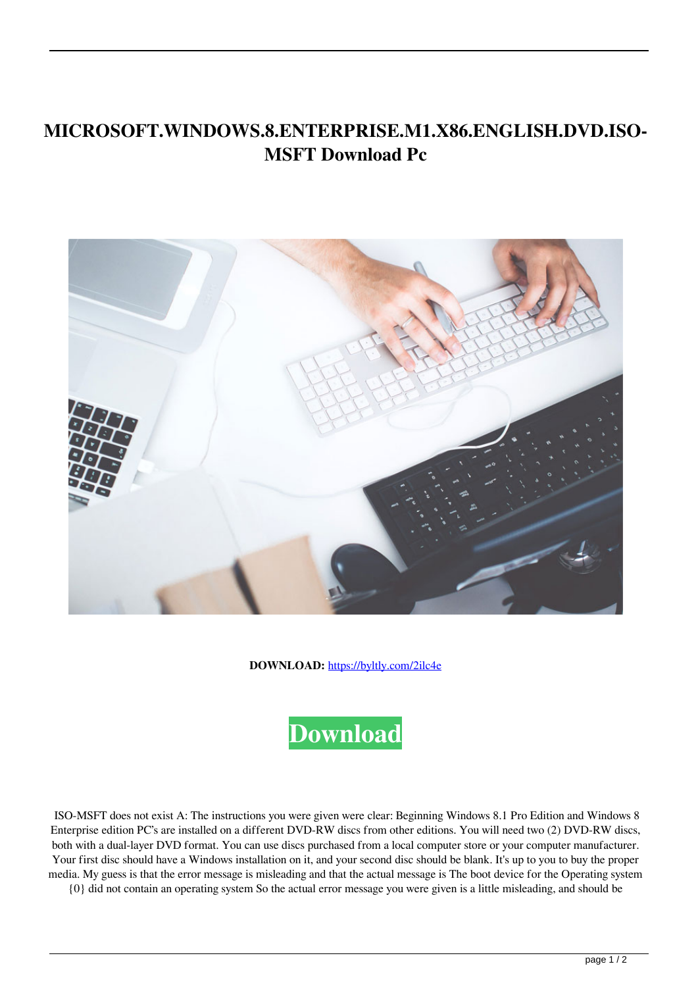## **MICROSOFT.WINDOWS.8.ENTERPRISE.M1.X86.ENGLISH.DVD.ISO-MSFT Download Pc**



**DOWNLOAD:** <https://byltly.com/2ilc4e>



 ISO-MSFT does not exist A: The instructions you were given were clear: Beginning Windows 8.1 Pro Edition and Windows 8 Enterprise edition PC's are installed on a different DVD-RW discs from other editions. You will need two (2) DVD-RW discs, both with a dual-layer DVD format. You can use discs purchased from a local computer store or your computer manufacturer. Your first disc should have a Windows installation on it, and your second disc should be blank. It's up to you to buy the proper media. My guess is that the error message is misleading and that the actual message is The boot device for the Operating system

{0} did not contain an operating system So the actual error message you were given is a little misleading, and should be